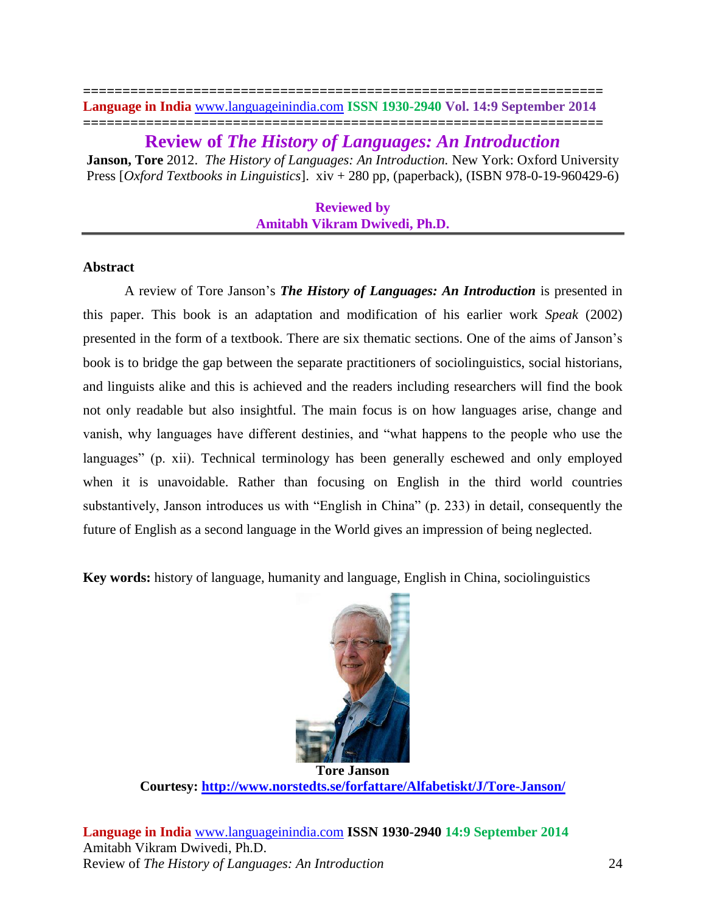### **================================================================== Language in India** [www.languageinindia.com](http://www.languageinindia.com/) **ISSN 1930-2940 Vol. 14:9 September 2014 ==================================================================**

**Review of** *The History of Languages: An Introduction* **Janson, Tore** 2012. *The History of Languages: An Introduction.* New York: Oxford University Press [*Oxford Textbooks in Linguistics*]. xiv + 280 pp, (paperback), (ISBN 978-0-19-960429-6)

> **Reviewed by Amitabh Vikram Dwivedi, Ph.D.**

# **Abstract**

A review of Tore Janson's *The History of Languages: An Introduction* is presented in this paper. This book is an adaptation and modification of his earlier work *Speak* (2002) presented in the form of a textbook. There are six thematic sections. One of the aims of Janson's book is to bridge the gap between the separate practitioners of sociolinguistics, social historians, and linguists alike and this is achieved and the readers including researchers will find the book not only readable but also insightful. The main focus is on how languages arise, change and vanish, why languages have different destinies, and "what happens to the people who use the languages" (p. xii). Technical terminology has been generally eschewed and only employed when it is unavoidable. Rather than focusing on English in the third world countries substantively, Janson introduces us with "English in China" (p. 233) in detail, consequently the future of English as a second language in the World gives an impression of being neglected.

**Key words:** history of language, humanity and language, English in China, sociolinguistics



**Tore Janson Courtesy:<http://www.norstedts.se/forfattare/Alfabetiskt/J/Tore-Janson/>**

**Language in India** [www.languageinindia.com](http://www.languageinindia.com/) **ISSN 1930-2940 14:9 September 2014** Amitabh Vikram Dwivedi, Ph.D. Review of *The History of Languages: An Introduction* 24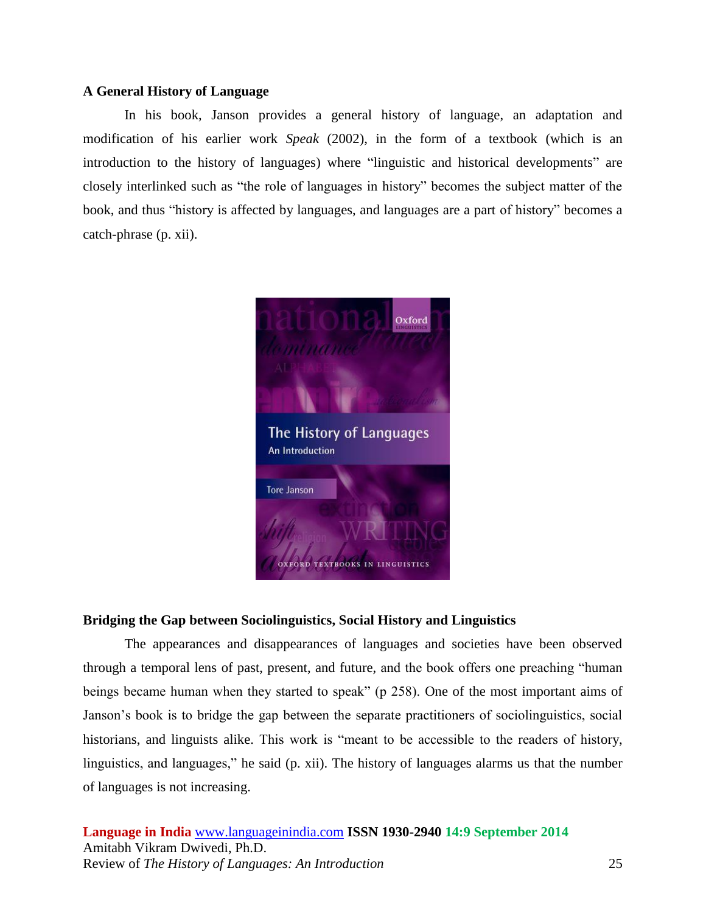# **A General History of Language**

In his book, Janson provides a general history of language, an adaptation and modification of his earlier work *Speak* (2002), in the form of a textbook (which is an introduction to the history of languages) where "linguistic and historical developments" are closely interlinked such as "the role of languages in history" becomes the subject matter of the book, and thus "history is affected by languages, and languages are a part of history" becomes a catch-phrase (p. xii).



# **Bridging the Gap between Sociolinguistics, Social History and Linguistics**

The appearances and disappearances of languages and societies have been observed through a temporal lens of past, present, and future, and the book offers one preaching "human beings became human when they started to speak" (p 258). One of the most important aims of Janson's book is to bridge the gap between the separate practitioners of sociolinguistics, social historians, and linguists alike. This work is "meant to be accessible to the readers of history, linguistics, and languages," he said (p. xii). The history of languages alarms us that the number of languages is not increasing.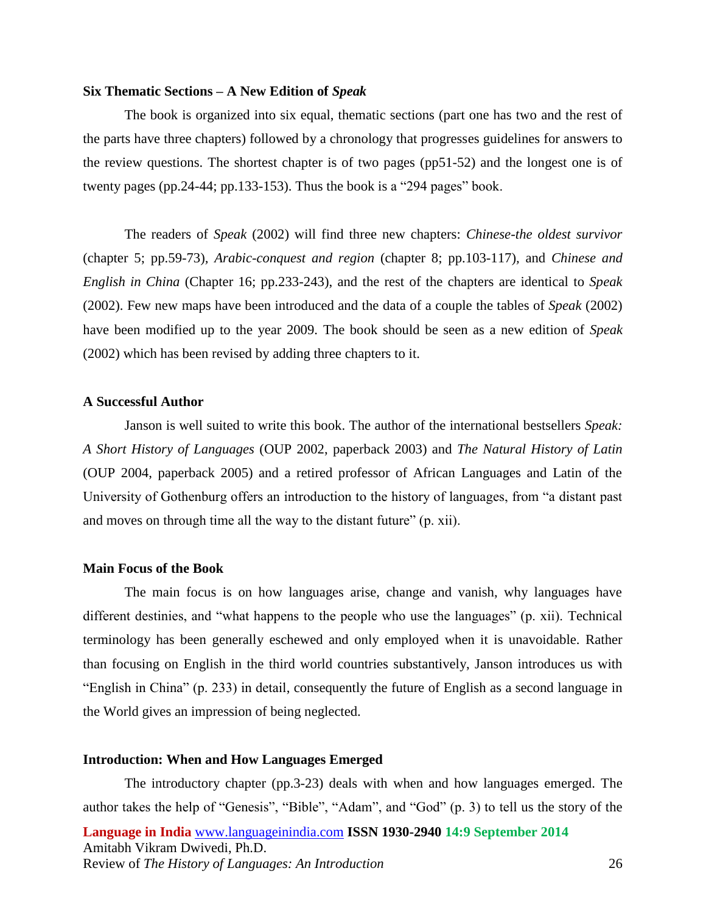#### **Six Thematic Sections – A New Edition of** *Speak*

The book is organized into six equal, thematic sections (part one has two and the rest of the parts have three chapters) followed by a chronology that progresses guidelines for answers to the review questions. The shortest chapter is of two pages (pp51-52) and the longest one is of twenty pages (pp.24-44; pp.133-153). Thus the book is a "294 pages" book.

The readers of *Speak* (2002) will find three new chapters: *Chinese-the oldest survivor*  (chapter 5; pp.59-73)*, Arabic-conquest and region* (chapter 8; pp.103-117)*,* and *Chinese and English in China* (Chapter 16; pp.233-243), and the rest of the chapters are identical to *Speak*  (2002). Few new maps have been introduced and the data of a couple the tables of *Speak* (2002) have been modified up to the year 2009. The book should be seen as a new edition of *Speak*  (2002) which has been revised by adding three chapters to it.

## **A Successful Author**

Janson is well suited to write this book. The author of the international bestsellers *Speak: A Short History of Languages* (OUP 2002, paperback 2003) and *The Natural History of Latin*  (OUP 2004, paperback 2005) and a retired professor of African Languages and Latin of the University of Gothenburg offers an introduction to the history of languages, from "a distant past and moves on through time all the way to the distant future" (p. xii).

## **Main Focus of the Book**

The main focus is on how languages arise, change and vanish, why languages have different destinies, and "what happens to the people who use the languages" (p. xii). Technical terminology has been generally eschewed and only employed when it is unavoidable. Rather than focusing on English in the third world countries substantively, Janson introduces us with "English in China" (p. 233) in detail, consequently the future of English as a second language in the World gives an impression of being neglected.

## **Introduction: When and How Languages Emerged**

**Language in India** [www.languageinindia.com](http://www.languageinindia.com/) **ISSN 1930-2940 14:9 September 2014** Amitabh Vikram Dwivedi, Ph.D. Review of *The History of Languages: An Introduction* 26 The introductory chapter (pp.3-23) deals with when and how languages emerged. The author takes the help of "Genesis", "Bible", "Adam", and "God" (p. 3) to tell us the story of the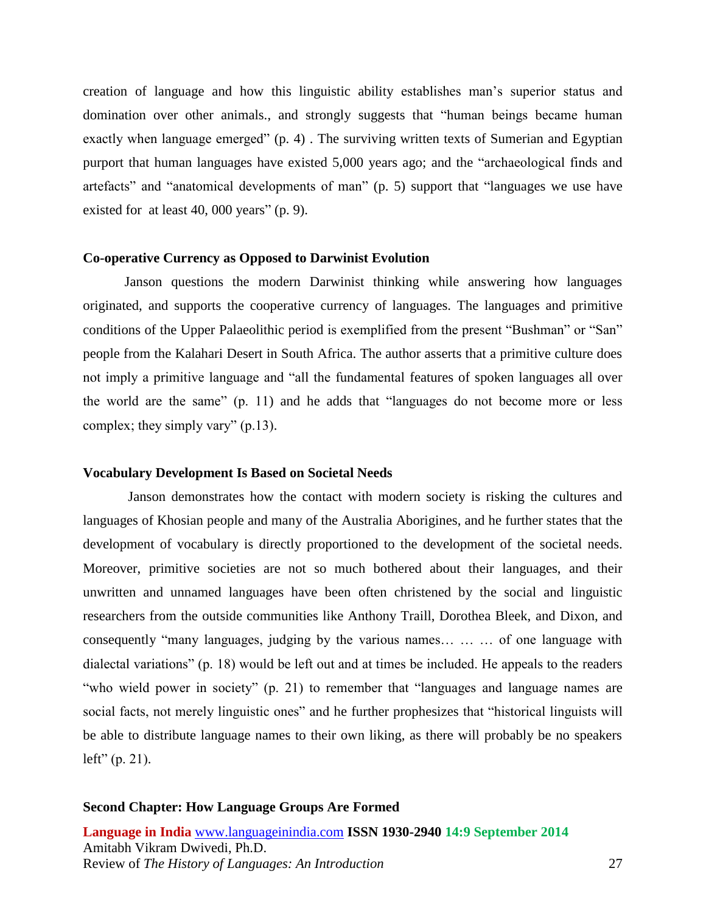creation of language and how this linguistic ability establishes man's superior status and domination over other animals., and strongly suggests that "human beings became human exactly when language emerged" (p. 4). The surviving written texts of Sumerian and Egyptian purport that human languages have existed 5,000 years ago; and the "archaeological finds and artefacts" and "anatomical developments of man" (p. 5) support that "languages we use have existed for at least 40, 000 years" (p. 9).

## **Co-operative Currency as Opposed to Darwinist Evolution**

Janson questions the modern Darwinist thinking while answering how languages originated, and supports the cooperative currency of languages. The languages and primitive conditions of the Upper Palaeolithic period is exemplified from the present "Bushman" or "San" people from the Kalahari Desert in South Africa. The author asserts that a primitive culture does not imply a primitive language and "all the fundamental features of spoken languages all over the world are the same" (p. 11) and he adds that "languages do not become more or less complex; they simply vary" (p.13).

### **Vocabulary Development Is Based on Societal Needs**

Janson demonstrates how the contact with modern society is risking the cultures and languages of Khosian people and many of the Australia Aborigines, and he further states that the development of vocabulary is directly proportioned to the development of the societal needs. Moreover, primitive societies are not so much bothered about their languages, and their unwritten and unnamed languages have been often christened by the social and linguistic researchers from the outside communities like Anthony Traill, Dorothea Bleek, and Dixon, and consequently "many languages, judging by the various names… … … of one language with dialectal variations" (p. 18) would be left out and at times be included. He appeals to the readers "who wield power in society" (p. 21) to remember that "languages and language names are social facts, not merely linguistic ones" and he further prophesizes that "historical linguists will be able to distribute language names to their own liking, as there will probably be no speakers  $left"$  (p. 21).

### **Second Chapter: How Language Groups Are Formed**

**Language in India** [www.languageinindia.com](http://www.languageinindia.com/) **ISSN 1930-2940 14:9 September 2014** Amitabh Vikram Dwivedi, Ph.D. Review of *The History of Languages: An Introduction* 27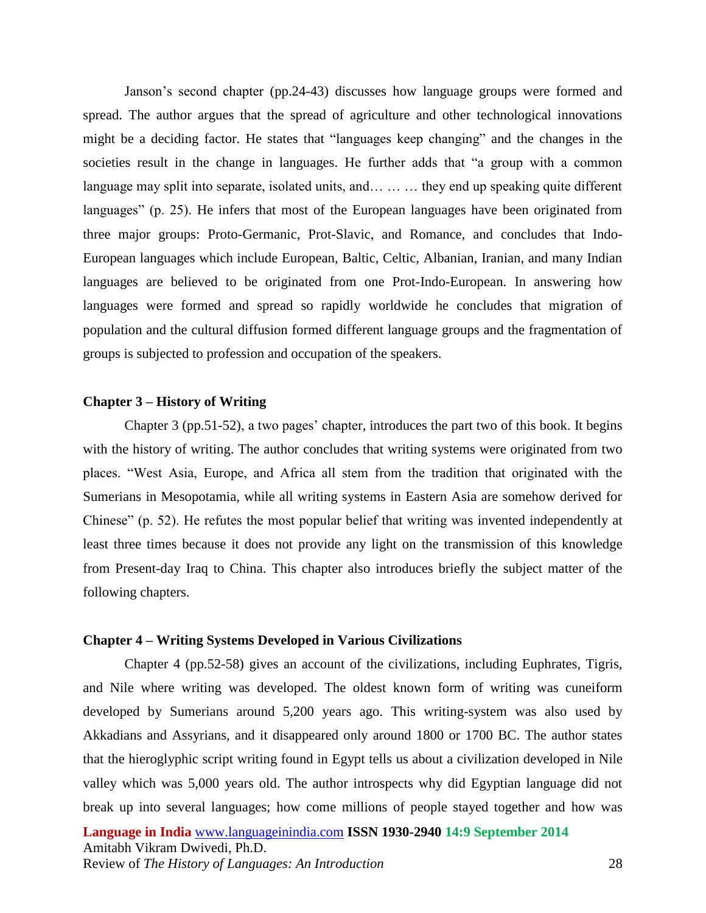Janson's second chapter (pp.24-43) discusses how language groups were formed and spread. The author argues that the spread of agriculture and other technological innovations might be a deciding factor. He states that "languages keep changing" and the changes in the societies result in the change in languages. He further adds that "a group with a common language may split into separate, isolated units, and… … … they end up speaking quite different languages" (p. 25). He infers that most of the European languages have been originated from three major groups: Proto-Germanic, Prot-Slavic, and Romance, and concludes that Indo-European languages which include European, Baltic, Celtic, Albanian, Iranian, and many Indian languages are believed to be originated from one Prot-Indo-European. In answering how languages were formed and spread so rapidly worldwide he concludes that migration of population and the cultural diffusion formed different language groups and the fragmentation of groups is subjected to profession and occupation of the speakers.

## **Chapter 3 – History of Writing**

Chapter 3 (pp.51-52), a two pages' chapter, introduces the part two of this book. It begins with the history of writing. The author concludes that writing systems were originated from two places. "West Asia, Europe, and Africa all stem from the tradition that originated with the Sumerians in Mesopotamia, while all writing systems in Eastern Asia are somehow derived for Chinese" (p. 52). He refutes the most popular belief that writing was invented independently at least three times because it does not provide any light on the transmission of this knowledge from Present-day Iraq to China. This chapter also introduces briefly the subject matter of the following chapters.

## **Chapter 4 – Writing Systems Developed in Various Civilizations**

Chapter 4 (pp.52-58) gives an account of the civilizations, including Euphrates, Tigris, and Nile where writing was developed. The oldest known form of writing was cuneiform developed by Sumerians around 5,200 years ago. This writing-system was also used by Akkadians and Assyrians, and it disappeared only around 1800 or 1700 BC. The author states that the hieroglyphic script writing found in Egypt tells us about a civilization developed in Nile valley which was 5,000 years old. The author introspects why did Egyptian language did not break up into several languages; how come millions of people stayed together and how was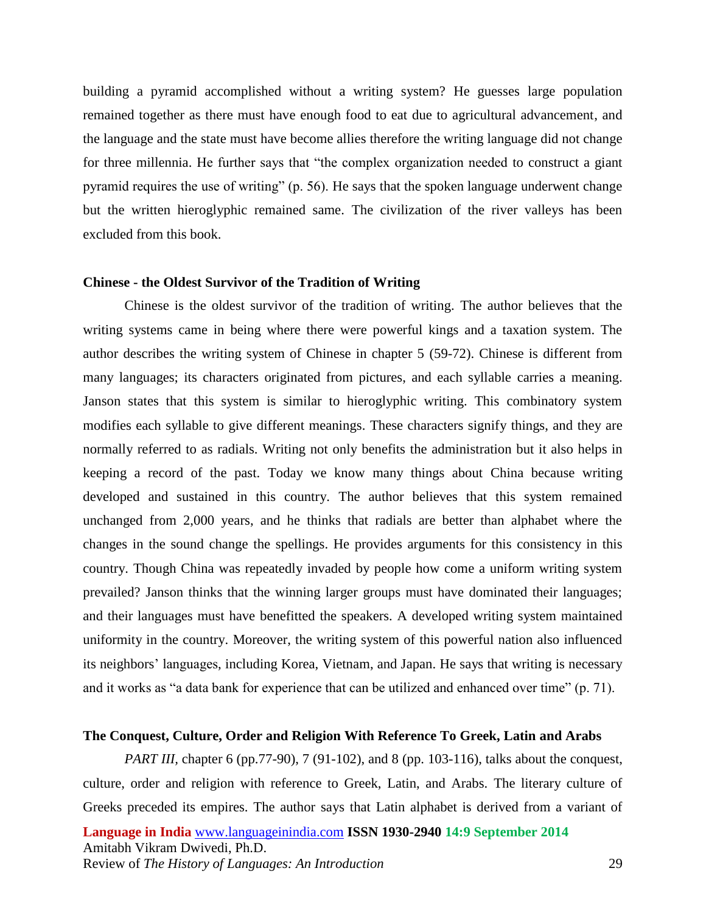building a pyramid accomplished without a writing system? He guesses large population remained together as there must have enough food to eat due to agricultural advancement, and the language and the state must have become allies therefore the writing language did not change for three millennia. He further says that "the complex organization needed to construct a giant pyramid requires the use of writing" (p. 56). He says that the spoken language underwent change but the written hieroglyphic remained same. The civilization of the river valleys has been excluded from this book.

### **Chinese - the Oldest Survivor of the Tradition of Writing**

Chinese is the oldest survivor of the tradition of writing. The author believes that the writing systems came in being where there were powerful kings and a taxation system. The author describes the writing system of Chinese in chapter 5 (59-72). Chinese is different from many languages; its characters originated from pictures, and each syllable carries a meaning. Janson states that this system is similar to hieroglyphic writing. This combinatory system modifies each syllable to give different meanings. These characters signify things, and they are normally referred to as radials. Writing not only benefits the administration but it also helps in keeping a record of the past. Today we know many things about China because writing developed and sustained in this country. The author believes that this system remained unchanged from 2,000 years, and he thinks that radials are better than alphabet where the changes in the sound change the spellings. He provides arguments for this consistency in this country. Though China was repeatedly invaded by people how come a uniform writing system prevailed? Janson thinks that the winning larger groups must have dominated their languages; and their languages must have benefitted the speakers. A developed writing system maintained uniformity in the country. Moreover, the writing system of this powerful nation also influenced its neighbors' languages, including Korea, Vietnam, and Japan. He says that writing is necessary and it works as "a data bank for experience that can be utilized and enhanced over time" (p. 71).

# **The Conquest, Culture, Order and Religion With Reference To Greek, Latin and Arabs**

**Language in India** [www.languageinindia.com](http://www.languageinindia.com/) **ISSN 1930-2940 14:9 September 2014** Amitabh Vikram Dwivedi, Ph.D. Review of *The History of Languages: An Introduction* 29 *PART III*, chapter 6 (pp.77-90), 7 (91-102), and 8 (pp. 103-116), talks about the conquest, culture, order and religion with reference to Greek, Latin, and Arabs. The literary culture of Greeks preceded its empires. The author says that Latin alphabet is derived from a variant of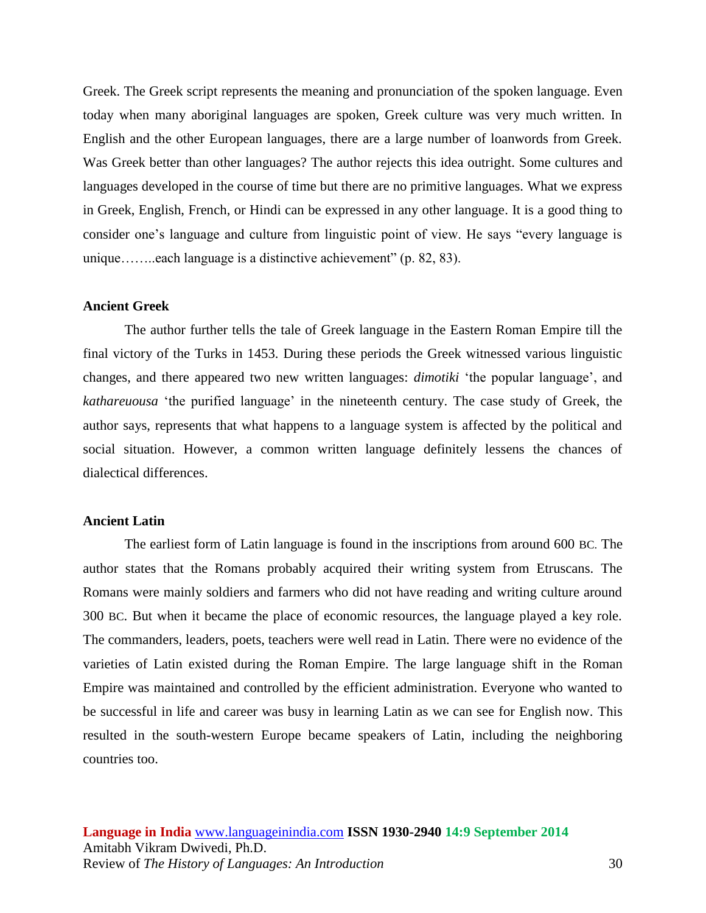Greek. The Greek script represents the meaning and pronunciation of the spoken language. Even today when many aboriginal languages are spoken, Greek culture was very much written. In English and the other European languages, there are a large number of loanwords from Greek. Was Greek better than other languages? The author rejects this idea outright. Some cultures and languages developed in the course of time but there are no primitive languages. What we express in Greek, English, French, or Hindi can be expressed in any other language. It is a good thing to consider one's language and culture from linguistic point of view. He says "every language is unique……..each language is a distinctive achievement" (p. 82, 83).

## **Ancient Greek**

The author further tells the tale of Greek language in the Eastern Roman Empire till the final victory of the Turks in 1453. During these periods the Greek witnessed various linguistic changes, and there appeared two new written languages: *dimotiki* 'the popular language', and *kathareuousa* 'the purified language' in the nineteenth century. The case study of Greek, the author says, represents that what happens to a language system is affected by the political and social situation. However, a common written language definitely lessens the chances of dialectical differences.

# **Ancient Latin**

The earliest form of Latin language is found in the inscriptions from around 600 BC. The author states that the Romans probably acquired their writing system from Etruscans. The Romans were mainly soldiers and farmers who did not have reading and writing culture around 300 BC. But when it became the place of economic resources, the language played a key role. The commanders, leaders, poets, teachers were well read in Latin. There were no evidence of the varieties of Latin existed during the Roman Empire. The large language shift in the Roman Empire was maintained and controlled by the efficient administration. Everyone who wanted to be successful in life and career was busy in learning Latin as we can see for English now. This resulted in the south-western Europe became speakers of Latin, including the neighboring countries too.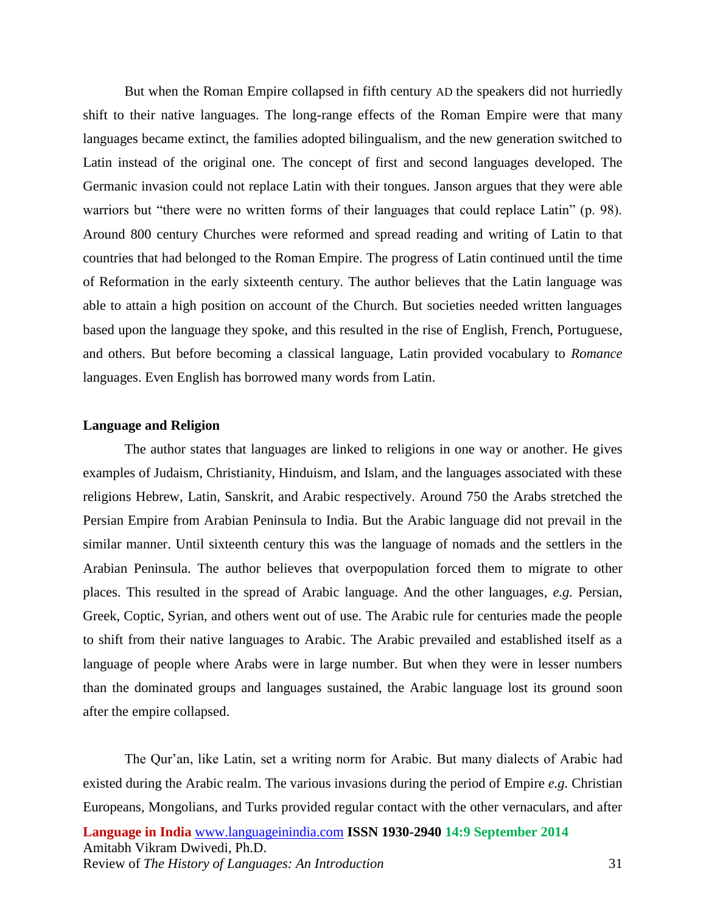But when the Roman Empire collapsed in fifth century AD the speakers did not hurriedly shift to their native languages. The long-range effects of the Roman Empire were that many languages became extinct, the families adopted bilingualism, and the new generation switched to Latin instead of the original one. The concept of first and second languages developed. The Germanic invasion could not replace Latin with their tongues. Janson argues that they were able warriors but "there were no written forms of their languages that could replace Latin" (p. 98). Around 800 century Churches were reformed and spread reading and writing of Latin to that countries that had belonged to the Roman Empire. The progress of Latin continued until the time of Reformation in the early sixteenth century. The author believes that the Latin language was able to attain a high position on account of the Church. But societies needed written languages based upon the language they spoke, and this resulted in the rise of English, French, Portuguese, and others. But before becoming a classical language, Latin provided vocabulary to *Romance*  languages. Even English has borrowed many words from Latin.

## **Language and Religion**

The author states that languages are linked to religions in one way or another. He gives examples of Judaism, Christianity, Hinduism, and Islam, and the languages associated with these religions Hebrew, Latin, Sanskrit, and Arabic respectively. Around 750 the Arabs stretched the Persian Empire from Arabian Peninsula to India. But the Arabic language did not prevail in the similar manner. Until sixteenth century this was the language of nomads and the settlers in the Arabian Peninsula. The author believes that overpopulation forced them to migrate to other places. This resulted in the spread of Arabic language. And the other languages, *e.g.* Persian, Greek, Coptic, Syrian, and others went out of use. The Arabic rule for centuries made the people to shift from their native languages to Arabic. The Arabic prevailed and established itself as a language of people where Arabs were in large number. But when they were in lesser numbers than the dominated groups and languages sustained, the Arabic language lost its ground soon after the empire collapsed.

**Language in India** [www.languageinindia.com](http://www.languageinindia.com/) **ISSN 1930-2940 14:9 September 2014** Amitabh Vikram Dwivedi, Ph.D. Review of *The History of Languages: An Introduction* 31 The Qur'an, like Latin, set a writing norm for Arabic. But many dialects of Arabic had existed during the Arabic realm. The various invasions during the period of Empire *e.g.* Christian Europeans, Mongolians, and Turks provided regular contact with the other vernaculars, and after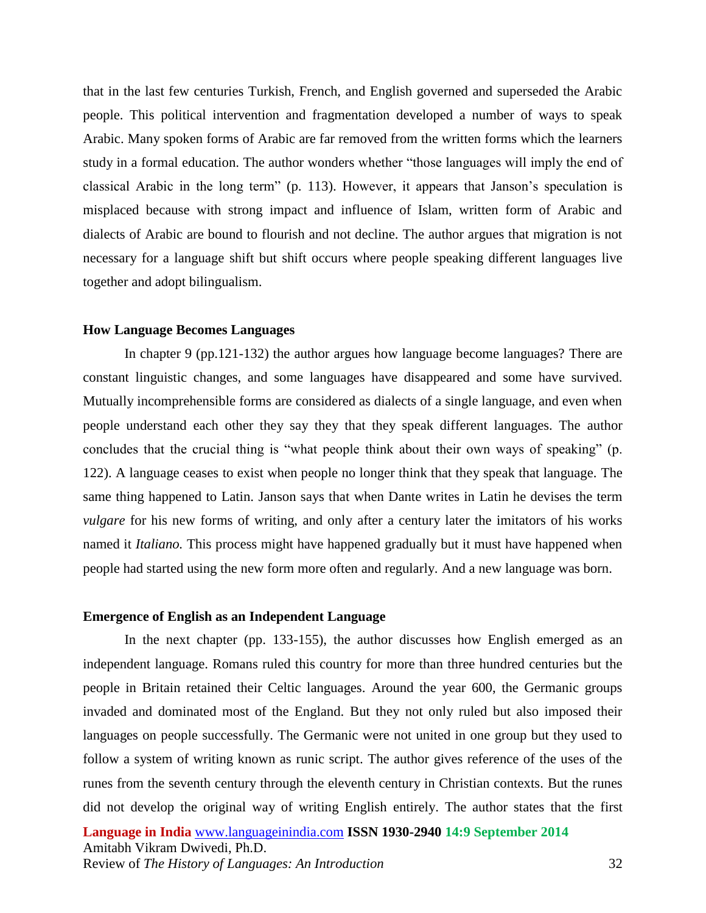that in the last few centuries Turkish, French, and English governed and superseded the Arabic people. This political intervention and fragmentation developed a number of ways to speak Arabic. Many spoken forms of Arabic are far removed from the written forms which the learners study in a formal education. The author wonders whether "those languages will imply the end of classical Arabic in the long term" (p. 113). However, it appears that Janson's speculation is misplaced because with strong impact and influence of Islam, written form of Arabic and dialects of Arabic are bound to flourish and not decline. The author argues that migration is not necessary for a language shift but shift occurs where people speaking different languages live together and adopt bilingualism.

### **How Language Becomes Languages**

In chapter 9 (pp.121-132) the author argues how language become languages? There are constant linguistic changes, and some languages have disappeared and some have survived. Mutually incomprehensible forms are considered as dialects of a single language, and even when people understand each other they say they that they speak different languages. The author concludes that the crucial thing is "what people think about their own ways of speaking" (p. 122). A language ceases to exist when people no longer think that they speak that language. The same thing happened to Latin. Janson says that when Dante writes in Latin he devises the term *vulgare* for his new forms of writing, and only after a century later the imitators of his works named it *Italiano.* This process might have happened gradually but it must have happened when people had started using the new form more often and regularly. And a new language was born.

### **Emergence of English as an Independent Language**

In the next chapter (pp. 133-155), the author discusses how English emerged as an independent language. Romans ruled this country for more than three hundred centuries but the people in Britain retained their Celtic languages. Around the year 600, the Germanic groups invaded and dominated most of the England. But they not only ruled but also imposed their languages on people successfully. The Germanic were not united in one group but they used to follow a system of writing known as runic script. The author gives reference of the uses of the runes from the seventh century through the eleventh century in Christian contexts. But the runes did not develop the original way of writing English entirely. The author states that the first

**Language in India** [www.languageinindia.com](http://www.languageinindia.com/) **ISSN 1930-2940 14:9 September 2014** Amitabh Vikram Dwivedi, Ph.D. Review of *The History of Languages: An Introduction* 32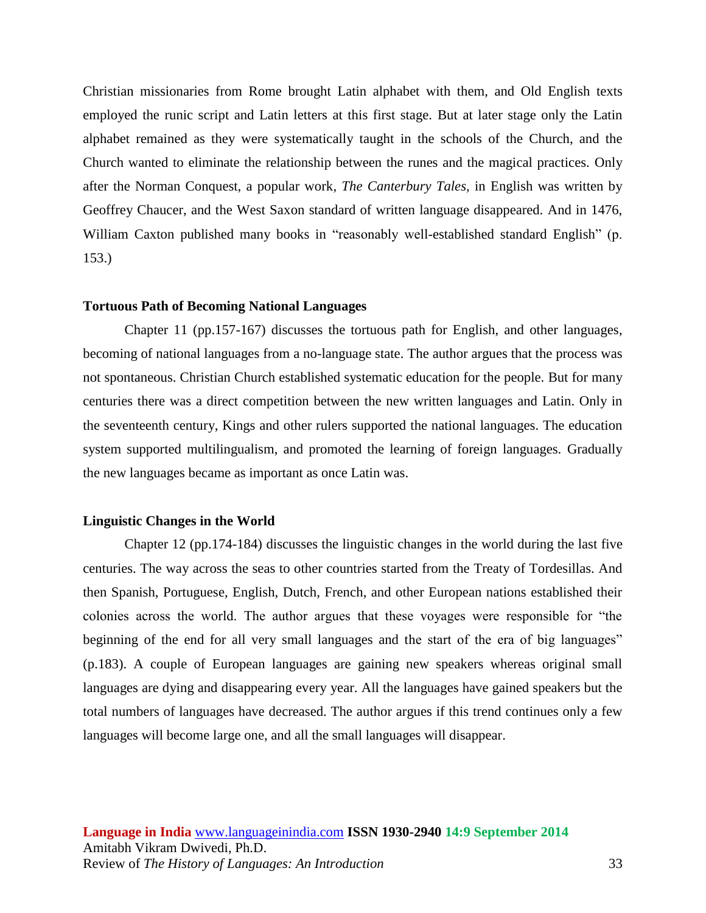Christian missionaries from Rome brought Latin alphabet with them, and Old English texts employed the runic script and Latin letters at this first stage. But at later stage only the Latin alphabet remained as they were systematically taught in the schools of the Church, and the Church wanted to eliminate the relationship between the runes and the magical practices. Only after the Norman Conquest, a popular work, *The Canterbury Tales,* in English was written by Geoffrey Chaucer, and the West Saxon standard of written language disappeared. And in 1476, William Caxton published many books in "reasonably well-established standard English" (p. 153.)

### **Tortuous Path of Becoming National Languages**

Chapter 11 (pp.157-167) discusses the tortuous path for English, and other languages, becoming of national languages from a no-language state. The author argues that the process was not spontaneous. Christian Church established systematic education for the people. But for many centuries there was a direct competition between the new written languages and Latin. Only in the seventeenth century, Kings and other rulers supported the national languages. The education system supported multilingualism, and promoted the learning of foreign languages. Gradually the new languages became as important as once Latin was.

## **Linguistic Changes in the World**

Chapter 12 (pp.174-184) discusses the linguistic changes in the world during the last five centuries. The way across the seas to other countries started from the Treaty of Tordesillas. And then Spanish, Portuguese, English, Dutch, French, and other European nations established their colonies across the world. The author argues that these voyages were responsible for "the beginning of the end for all very small languages and the start of the era of big languages" (p.183). A couple of European languages are gaining new speakers whereas original small languages are dying and disappearing every year. All the languages have gained speakers but the total numbers of languages have decreased. The author argues if this trend continues only a few languages will become large one, and all the small languages will disappear.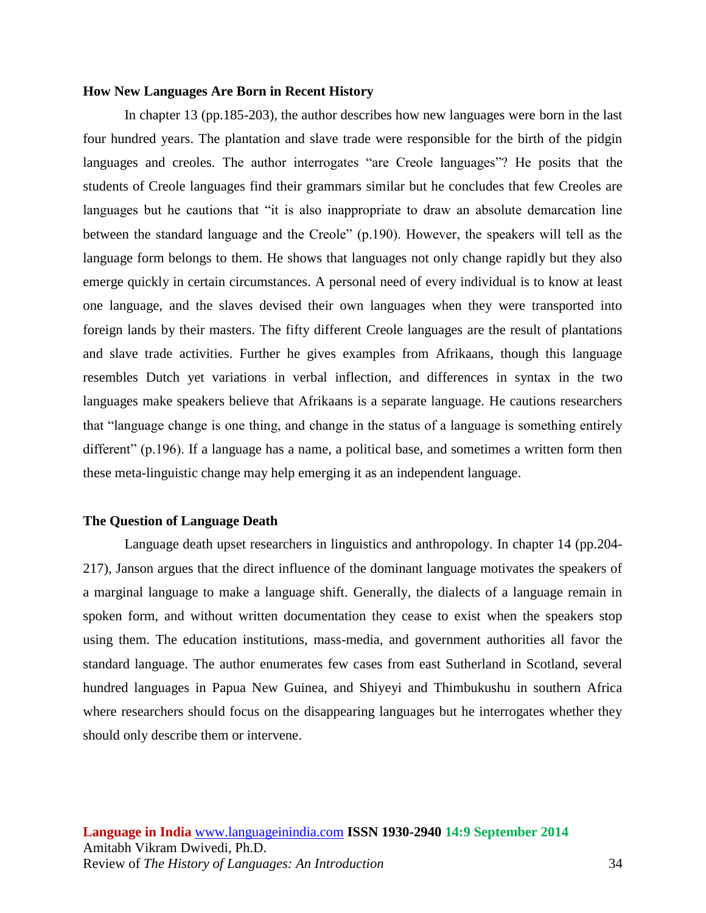### **How New Languages Are Born in Recent History**

In chapter 13 (pp.185-203), the author describes how new languages were born in the last four hundred years. The plantation and slave trade were responsible for the birth of the pidgin languages and creoles. The author interrogates "are Creole languages"? He posits that the students of Creole languages find their grammars similar but he concludes that few Creoles are languages but he cautions that "it is also inappropriate to draw an absolute demarcation line between the standard language and the Creole" (p.190). However, the speakers will tell as the language form belongs to them. He shows that languages not only change rapidly but they also emerge quickly in certain circumstances. A personal need of every individual is to know at least one language, and the slaves devised their own languages when they were transported into foreign lands by their masters. The fifty different Creole languages are the result of plantations and slave trade activities. Further he gives examples from Afrikaans, though this language resembles Dutch yet variations in verbal inflection, and differences in syntax in the two languages make speakers believe that Afrikaans is a separate language. He cautions researchers that "language change is one thing, and change in the status of a language is something entirely different" (p.196). If a language has a name, a political base, and sometimes a written form then these meta-linguistic change may help emerging it as an independent language.

### **The Question of Language Death**

Language death upset researchers in linguistics and anthropology. In chapter 14 (pp.204- 217), Janson argues that the direct influence of the dominant language motivates the speakers of a marginal language to make a language shift. Generally, the dialects of a language remain in spoken form, and without written documentation they cease to exist when the speakers stop using them. The education institutions, mass-media, and government authorities all favor the standard language. The author enumerates few cases from east Sutherland in Scotland, several hundred languages in Papua New Guinea, and Shiyeyi and Thimbukushu in southern Africa where researchers should focus on the disappearing languages but he interrogates whether they should only describe them or intervene.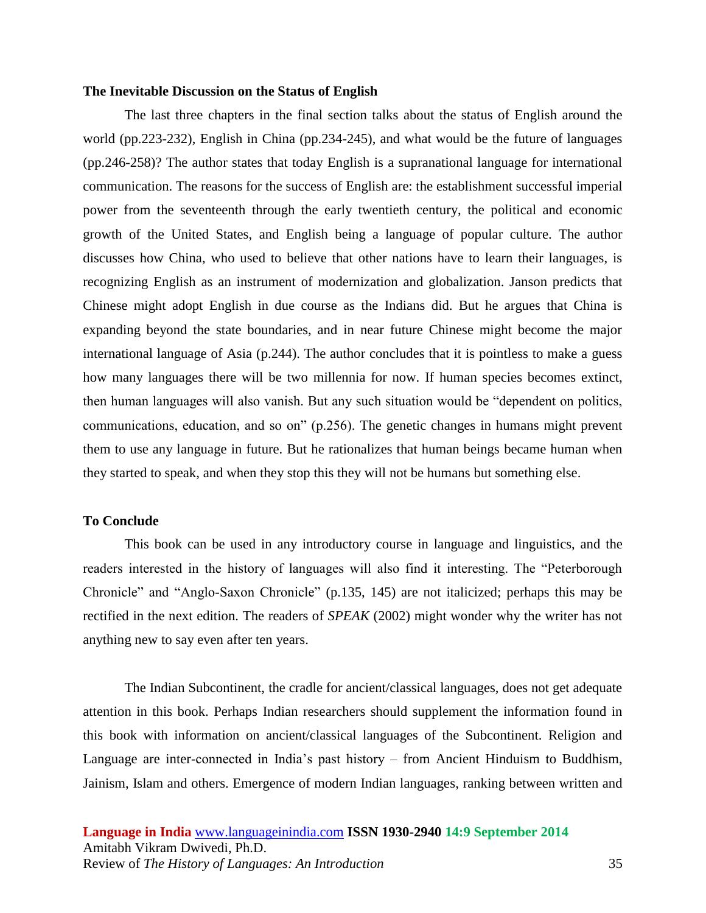## **The Inevitable Discussion on the Status of English**

The last three chapters in the final section talks about the status of English around the world (pp.223-232), English in China (pp.234-245), and what would be the future of languages (pp.246-258)? The author states that today English is a supranational language for international communication. The reasons for the success of English are: the establishment successful imperial power from the seventeenth through the early twentieth century, the political and economic growth of the United States, and English being a language of popular culture. The author discusses how China, who used to believe that other nations have to learn their languages, is recognizing English as an instrument of modernization and globalization. Janson predicts that Chinese might adopt English in due course as the Indians did. But he argues that China is expanding beyond the state boundaries, and in near future Chinese might become the major international language of Asia (p.244). The author concludes that it is pointless to make a guess how many languages there will be two millennia for now. If human species becomes extinct, then human languages will also vanish. But any such situation would be "dependent on politics, communications, education, and so on" (p.256). The genetic changes in humans might prevent them to use any language in future. But he rationalizes that human beings became human when they started to speak, and when they stop this they will not be humans but something else.

## **To Conclude**

This book can be used in any introductory course in language and linguistics, and the readers interested in the history of languages will also find it interesting. The "Peterborough Chronicle" and "Anglo-Saxon Chronicle" (p.135, 145) are not italicized; perhaps this may be rectified in the next edition. The readers of *SPEAK* (2002) might wonder why the writer has not anything new to say even after ten years.

The Indian Subcontinent, the cradle for ancient/classical languages, does not get adequate attention in this book. Perhaps Indian researchers should supplement the information found in this book with information on ancient/classical languages of the Subcontinent. Religion and Language are inter-connected in India's past history – from Ancient Hinduism to Buddhism, Jainism, Islam and others. Emergence of modern Indian languages, ranking between written and